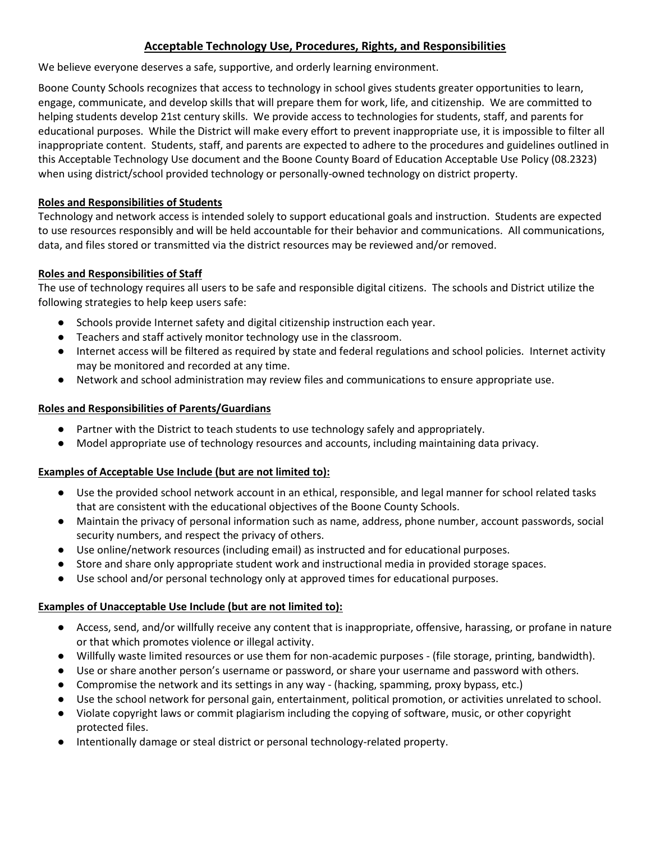# **Acceptable Technology Use, Procedures, Rights, and Responsibilities**

We believe everyone deserves a safe, supportive, and orderly learning environment.

Boone County Schools recognizes that access to technology in school gives students greater opportunities to learn, engage, communicate, and develop skills that will prepare them for work, life, and citizenship. We are committed to helping students develop 21st century skills. We provide access to technologies for students, staff, and parents for educational purposes. While the District will make every effort to prevent inappropriate use, it is impossible to filter all inappropriate content. Students, staff, and parents are expected to adhere to the procedures and guidelines outlined in this Acceptable Technology Use document and the Boone County Board of Education Acceptable Use Policy (08.2323) when using district/school provided technology or personally-owned technology on district property.

## **Roles and Responsibilities of Students**

Technology and network access is intended solely to support educational goals and instruction. Students are expected to use resources responsibly and will be held accountable for their behavior and communications. All communications, data, and files stored or transmitted via the district resources may be reviewed and/or removed.

## **Roles and Responsibilities of Staff**

The use of technology requires all users to be safe and responsible digital citizens. The schools and District utilize the following strategies to help keep users safe:

- Schools provide Internet safety and digital citizenship instruction each year.
- Teachers and staff actively monitor technology use in the classroom.
- Internet access will be filtered as required by state and federal regulations and school policies. Internet activity may be monitored and recorded at any time.
- Network and school administration may review files and communications to ensure appropriate use.

## **Roles and Responsibilities of Parents/Guardians**

- Partner with the District to teach students to use technology safely and appropriately.
- Model appropriate use of technology resources and accounts, including maintaining data privacy.

# **Examples of Acceptable Use Include (but are not limited to):**

- Use the provided school network account in an ethical, responsible, and legal manner for school related tasks that are consistent with the educational objectives of the Boone County Schools.
- Maintain the privacy of personal information such as name, address, phone number, account passwords, social security numbers, and respect the privacy of others.
- Use online/network resources (including email) as instructed and for educational purposes.
- Store and share only appropriate student work and instructional media in provided storage spaces.
- Use school and/or personal technology only at approved times for educational purposes.

## **Examples of Unacceptable Use Include (but are not limited to):**

- Access, send, and/or willfully receive any content that is inappropriate, offensive, harassing, or profane in nature or that which promotes violence or illegal activity.
- Willfully waste limited resources or use them for non-academic purposes (file storage, printing, bandwidth).
- Use or share another person's username or password, or share your username and password with others.
- Compromise the network and its settings in any way (hacking, spamming, proxy bypass, etc.)
- Use the school network for personal gain, entertainment, political promotion, or activities unrelated to school.
- Violate copyright laws or commit plagiarism including the copying of software, music, or other copyright protected files.
- Intentionally damage or steal district or personal technology-related property.